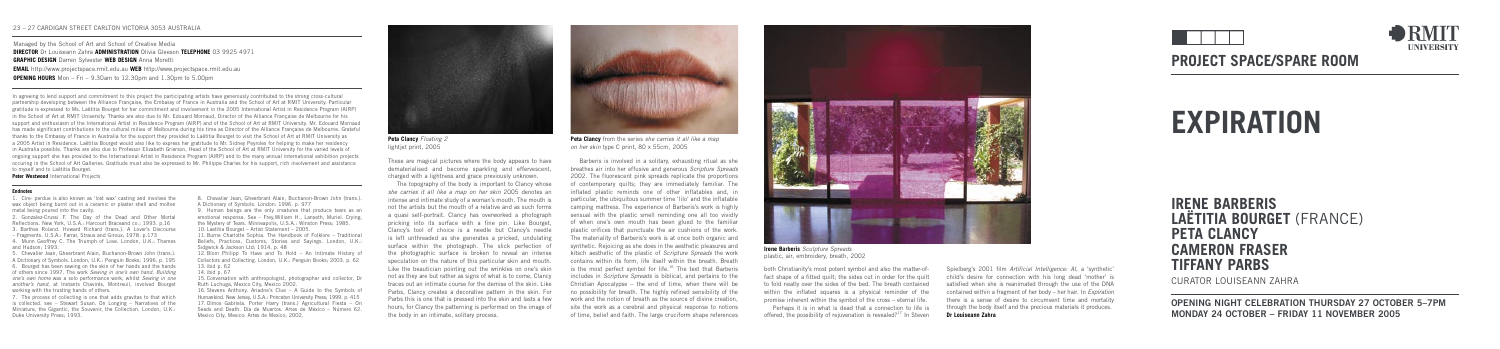# **PROJECT SPACE/SPARE ROOM**

# **EXPIRATION**

**IRENE BARBERIS LAËTITIA BOURGET** (FRANCE) **PETA CLANCY CAMERON FRASER TIFFANY PARBS**

CURATOR LOUISEANN ZAHRA

**OPENING NIGHT CELEBRATION THURSDAY 27 OCTOBER 5–7PM MONDAY 24 OCTOBER – FRIDAY 11 NOVEMBER 2005**



Barberis is involved in a solitary, exhausting ritual as she breathes air into her effusive and generous Scripture Spreads 2002. The fluorescent pink spreads replicate the proportions of contemporary quilts; they are immediately familiar. The inflated plastic reminds one of other inflatables and, in particular, the ubiquitous summer time 'lilo' and the inflatable camping mattress. The experience of Barberis's work is highly sensual with the plastic smell reminding one all too vividly of when one's own mouth has been glued to the familiar plastic orifices that punctuate the air cushions of the work. The materiality of Barberis's work is at once both organic and synthetic. Rejoicing as she does in the aesthetic pleasures and kitsch aesthetic of the plastic of Scripture Spreads the work contains within its form, life itself within the breath. Breath is the most perfect symbol for life.<sup>16</sup> The text that Barberis includes in Scripture Spreads is biblical, and pertains to the Christian Apocalypse – the end of time, when there will be no possibility for breath. The highly refined sensibility of the work and the notion of breath as the source of divine creation, site the work as a cerebral and physical response to notions of time, belief and faith. The large cruciform shape references



**Peta Clancy** from the series she carries it all like a map on her skin type C print, 80 x 55cm, 2005

**Peta Clancy** Floating 2 lightjet print, 2005

> Perhaps it is in what is dead that a connection to life is offered, the possibility of rejuvenation is revealed?<sup>17</sup> In Steven

These are magical pictures where the body appears to have dematerialised and become sparkling and effervescent, charged with a lightness and grace previously unknown.

The topography of the body is important to Clancy whose she carries it all like a map on her skin 2005 denotes an intense and intimate study of a woman's mouth. The mouth is not the artists but the mouth of a relative and as such forms a quasi self-portrait. Clancy has overworked a photograph pricking into its surface with a fine pin. Like Bourget, Clancy's tool of choice is a needle but Clancy's needle is left unthreaded as she generates a pricked, undulating surface within the photograph. The slick perfection of the photographic surface is broken to reveal an intense speculation on the nature of this particular skin and mouth. Like the beautician pointing out the wrinkles on one's skin not as they are but rather as signs of what is to come, Clancy traces out an intimate course for the demise of the skin. Like Parbs, Clancy creates a decorative pattern in the skin. For Parbs this is one that is pressed into the skin and lasts a few hours, for Clancy the patterning is performed on the image of the body in an intimate, solitary process.

both Christianity's most potent symbol and also the matter-offact shape of a fitted quilt; the sides cut in order for the quilt to fold neatly over the sides of the bed. The breath contained within the inflated squares is a physical reminder of the promise inherent within the symbol of the cross – eternal life.

15. Conversation with anthropologist, photographer and collector, Dr Ruth Luchuga, Mexico City, Mexico 2002.



**Irene Barberis** Sculpture Spreads plastic, air, embroidery, breath, 2002

Spielberg's 2001 film Artificial Intelligence: AI, a 'synthetic' child's desire for connection with his long dead 'mother' is satisfied when she is reanimated through the use of the DNA contained within a fragment of her body – her hair. In Expiration there is a sense of desire to circumvent time and mortality through the body itself and the precious materials it produces. **Dr Louiseann Zahra** 



Managed by the School of Art and School of Creative Media **DIRECTOR** Dr Louiseann Zahra **ADMINISTRATION** Olivia Gleeson **TELEPHONE** 03 9925 4971 **GRAPHIC DESIGN** Darren Sylvester **WEB DESIGN** Anna Moretti **EMAIL** http://www.projectspace.rmit.edu.au **WEB** http://www.projectspace.rmit.edu.au **OPENING HOURS** Mon – Fri – 9.30am to 12.30pm and 1.30pm to 5.00pm

## 23 – 27 CARDIGAN STREET CARLTON VICTORIA 3053 AUSTRALIA

1. Cire- perdue is also known as 'lost wax' casting and involves the wax object being burnt out in a ceramic or plaster shell and molten metal being poured into the cavity.

2. Gonzalez-Crussi F. The Day of the Dead and Other Mortal Reflections. New York, U.S.A.: Harcourt Braceand co.; 1993. p.16 3. Barthes Roland. Howard Richard (trans.). A Lover's Discourse – Fragments. U.S.A.: Farrar, Straus and Giroux; 1978. p.173

4. Munn Geoffrey C. The Triumph of Love. London, U.K.: Thames

and Hudson; 1993. 5. Chevalier Jean, Gheerbrant Alain, Buchanon-Brown John (trans.).

A Dictionary of Symbols. London, U.K.: Penguin Books; 1996. p. 195 6. Bourget has been sewing on the skin of her hands and the hands of others since 1997. The work Sewing in one's own hand, Building one's own home was a solo performance work, whilst Sewing in one another's hand, at Instants Chavirés, Montreuil, involved Bourget working with the trusting hands of others.

7. The process of collecting is one that adds gravitas to that which is collected. see – Stewart Susan. On Longing – Narratives of the Miniature, the Gigantic, the Souvenir, the Collection. London, U.K.: Duke University Press; 1993.

### **Endnotes**

8. Chevalier Jean, Gheerbrant Alain, Buchanon-Brown John (trans.). A Dictionary of Symbols. London: 1996. p. 977

9. Human beings are the only creatures that produce tears as an emotional response. See – Frey,William H., Lanseth, Muriel. Crying, the Mystery of Tears. Minneapolis, U.S.A.: Winston Press; 1985. 10. Laetitia Bourget – Artist Statement – 2005.

11. Burne Charlotte Sophia. The Handbook of Folklore – Traditional Beliefs, Practices, Customs, Stories and Sayings. London, U.K.: Sidgwick & Jackson Ltd; 1914. p. 48

12. Blom Philipp To Have and To Hold – An Intimate History of Collectors and Collecting. London, U.K.: Penguin Books; 2003. p. 62 13. ibid p. 62

14. ibid p. 67

16. Stevens Anthony. Ariadne's Clue – A Guide to the Symbols of Humankind. New Jersey, U.S.A.: Princeton University Press; 1999. p. 415 17. Olmos Gabriela. Porter Harry (trans.) Agricultural Fiesta – On Seeds and Death. Día de Muertos. Artes de Mexico – Número 62. Mexico City, Mexico: Artes de Mexico; 2002.



In agreeing to lend support and commitment to this project the participating artists have generously contributed to the strong cross-cultural partnership developing between the Alliance Française, the Embassy of France in Australia and the School of Art at RMIT University. Particular gratitude is expressed to Ms. Laëtitia Bourget for her commitment and involvement in the 2005 International Artist in Residence Program (AIRP) in the School of Art at RMIT University. Thanks are also due to Mr. Edouard Mornaud, Director of the Alliance Française de Melbourne for his support and enthusiasm of the International Artist in Residence Program (AIRP) and of the School of Art at RMIT University. Mr. Edouard Mornaud has made significant contributions to the cultural milieu of Melbourne during his time as Director of the Alliance Française de Melbourne. Grateful thanks to the Embassy of France in Australia for the support they provided to Laëtitia Bourget to visit the School of Art at RMIT University as a 2005 Artist in Residence. Laëtitia Bourget would also like to express her gratitude to Mr. Sidney Peyroles for helping to make her residency in Australia possible. Thanks are also due to Professor Elizabeth Grierson, Head of the School of Art at RMIT University for the varied levels of ongoing support she has provided to the International Artist in Residence Program (AIRP) and to the many annual international exhibition projects occuring in the School of Art Galleries. Gratitude must also be expressed to Mr. Philippe Charles for his support, rich involvement and assistance to myself and to Laëtitia Bourget.

**Peter Westwood** International Projects